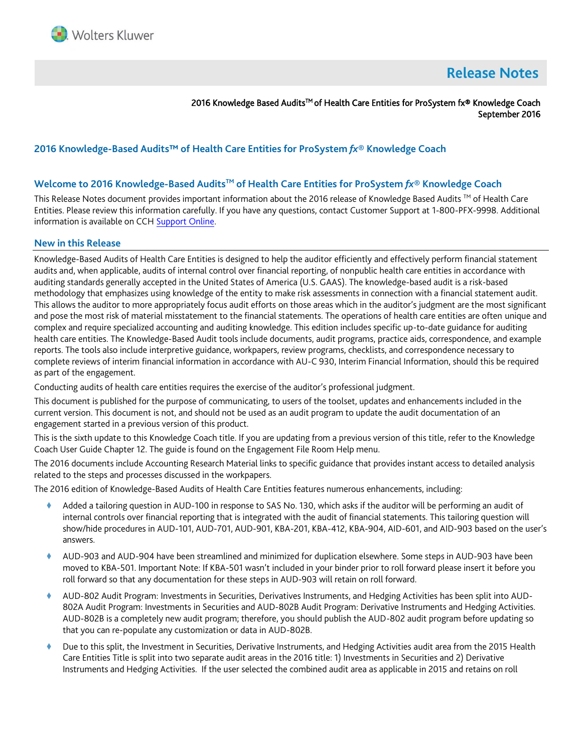

# **Release Notes**

2016 Knowledge Based Audits<sup>™</sup> of Health Care Entities for ProSystem fx® Knowledge Coach September 2016

# **2016 Knowledge-Based Audits™ of Health Care Entities for ProSystem** *fx***® Knowledge Coach**

## **Welcome to 2016 Knowledge-Based AuditsTM of Health Care Entities for ProSystem** *fx***® Knowledge Coach**

This Release Notes document provides important information about the 2016 release of Knowledge Based Audits ™ of Health Care Entities. Please review this information carefully. If you have any questions, contact Customer Support at 1-800-PFX-9998. Additional information is available on CC[H Support Online.](http://support.cch.com/productsupport/)

#### **New in this Release**

Knowledge-Based Audits of Health Care Entities is designed to help the auditor efficiently and effectively perform financial statement audits and, when applicable, audits of internal control over financial reporting, of nonpublic health care entities in accordance with auditing standards generally accepted in the United States of America (U.S. GAAS). The knowledge-based audit is a risk-based methodology that emphasizes using knowledge of the entity to make risk assessments in connection with a financial statement audit. This allows the auditor to more appropriately focus audit efforts on those areas which in the auditor's judgment are the most significant and pose the most risk of material misstatement to the financial statements. The operations of health care entities are often unique and complex and require specialized accounting and auditing knowledge. This edition includes specific up-to-date guidance for auditing health care entities. The Knowledge-Based Audit tools include documents, audit programs, practice aids, correspondence, and example reports. The tools also include interpretive guidance, workpapers, review programs, checklists, and correspondence necessary to complete reviews of interim financial information in accordance with AU-C 930, Interim Financial Information, should this be required as part of the engagement.

Conducting audits of health care entities requires the exercise of the auditor's professional judgment.

This document is published for the purpose of communicating, to users of the toolset, updates and enhancements included in the current version. This document is not, and should not be used as an audit program to update the audit documentation of an engagement started in a previous version of this product.

This is the sixth update to this Knowledge Coach title. If you are updating from a previous version of this title, refer to the Knowledge Coach User Guide Chapter 12. The guide is found on the Engagement File Room Help menu.

The 2016 documents include Accounting Research Material links to specific guidance that provides instant access to detailed analysis related to the steps and processes discussed in the workpapers.

The 2016 edition of Knowledge-Based Audits of Health Care Entities features numerous enhancements, including:

- Added a tailoring question in AUD-100 in response to SAS No. 130, which asks if the auditor will be performing an audit of internal controls over financial reporting that is integrated with the audit of financial statements. This tailoring question will show/hide procedures in AUD-101, AUD-701, AUD-901, KBA-201, KBA-412, KBA-904, AID-601, and AID-903 based on the user's answers.
- AUD-903 and AUD-904 have been streamlined and minimized for duplication elsewhere. Some steps in AUD-903 have been moved to KBA-501. Important Note: If KBA-501 wasn't included in your binder prior to roll forward please insert it before you roll forward so that any documentation for these steps in AUD-903 will retain on roll forward.
- AUD-802 Audit Program: Investments in Securities, Derivatives Instruments, and Hedging Activities has been split into AUD-802A Audit Program: Investments in Securities and AUD-802B Audit Program: Derivative Instruments and Hedging Activities. AUD-802B is a completely new audit program; therefore, you should publish the AUD-802 audit program before updating so that you can re-populate any customization or data in AUD-802B.
- Due to this split, the Investment in Securities, Derivative Instruments, and Hedging Activities audit area from the 2015 Health Care Entities Title is split into two separate audit areas in the 2016 title: 1) Investments in Securities and 2) Derivative Instruments and Hedging Activities. If the user selected the combined audit area as applicable in 2015 and retains on roll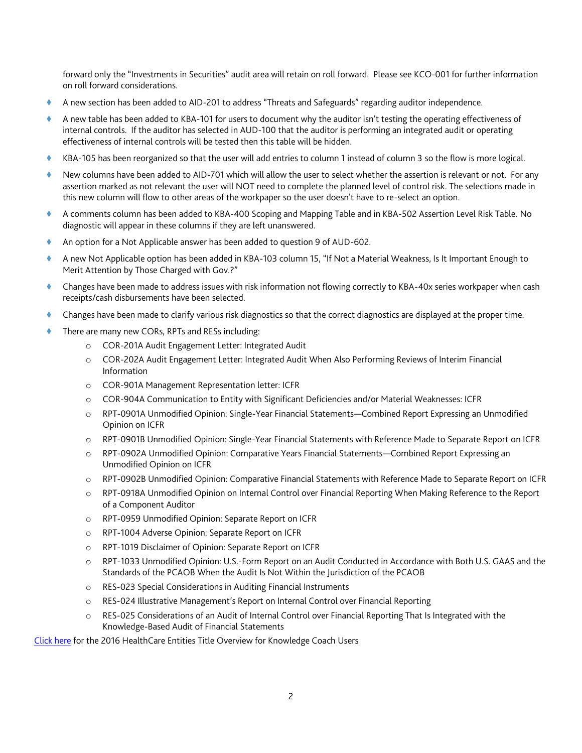forward only the "Investments in Securities" audit area will retain on roll forward. Please see KCO-001 for further information on roll forward considerations.

- A new section has been added to AID-201 to address "Threats and Safeguards" regarding auditor independence.
- A new table has been added to KBA-101 for users to document why the auditor isn't testing the operating effectiveness of internal controls. If the auditor has selected in AUD-100 that the auditor is performing an integrated audit or operating effectiveness of internal controls will be tested then this table will be hidden.
- KBA-105 has been reorganized so that the user will add entries to column 1 instead of column 3 so the flow is more logical.
- New columns have been added to AID-701 which will allow the user to select whether the assertion is relevant or not. For any assertion marked as not relevant the user will NOT need to complete the planned level of control risk. The selections made in this new column will flow to other areas of the workpaper so the user doesn't have to re-select an option.
- A comments column has been added to KBA-400 Scoping and Mapping Table and in KBA-502 Assertion Level Risk Table. No diagnostic will appear in these columns if they are left unanswered.
- An option for a Not Applicable answer has been added to question 9 of AUD-602.
- A new Not Applicable option has been added in KBA-103 column 15, "If Not a Material Weakness, Is It Important Enough to Merit Attention by Those Charged with Gov.?"
- Changes have been made to address issues with risk information not flowing correctly to KBA-40x series workpaper when cash receipts/cash disbursements have been selected.
- Changes have been made to clarify various risk diagnostics so that the correct diagnostics are displayed at the proper time.
- There are many new CORs, RPTs and RESs including:
	- o COR-201A Audit Engagement Letter: Integrated Audit
	- o COR-202A Audit Engagement Letter: Integrated Audit When Also Performing Reviews of Interim Financial Information
	- o COR-901A Management Representation letter: ICFR
	- o COR-904A Communication to Entity with Significant Deficiencies and/or Material Weaknesses: ICFR
	- o RPT-0901A Unmodified Opinion: Single-Year Financial Statements—Combined Report Expressing an Unmodified Opinion on ICFR
	- o RPT-0901B Unmodified Opinion: Single-Year Financial Statements with Reference Made to Separate Report on ICFR
	- o RPT-0902A Unmodified Opinion: Comparative Years Financial Statements—Combined Report Expressing an Unmodified Opinion on ICFR
	- o RPT-0902B Unmodified Opinion: Comparative Financial Statements with Reference Made to Separate Report on ICFR
	- o RPT-0918A Unmodified Opinion on Internal Control over Financial Reporting When Making Reference to the Report of a Component Auditor
	- o RPT-0959 Unmodified Opinion: Separate Report on ICFR
	- o RPT-1004 Adverse Opinion: Separate Report on ICFR
	- o RPT-1019 Disclaimer of Opinion: Separate Report on ICFR
	- o RPT-1033 Unmodified Opinion: U.S.-Form Report on an Audit Conducted in Accordance with Both U.S. GAAS and the Standards of the PCAOB When the Audit Is Not Within the Jurisdiction of the PCAOB
	- o RES-023 Special Considerations in Auditing Financial Instruments
	- o RES-024 Illustrative Management's Report on Internal Control over Financial Reporting
	- o RES-025 Considerations of an Audit of Internal Control over Financial Reporting That Is Integrated with the Knowledge-Based Audit of Financial Statements

[Click here](http://support.cch.com/updates/KnowledgeCoach/pdf/guides_tab/2016%20HealthCare%20Entities%20Title%20Overview%20for%20Knowledge%20Coach%20Users.pdf) for the 2016 HealthCare Entities Title Overview for Knowledge Coach Users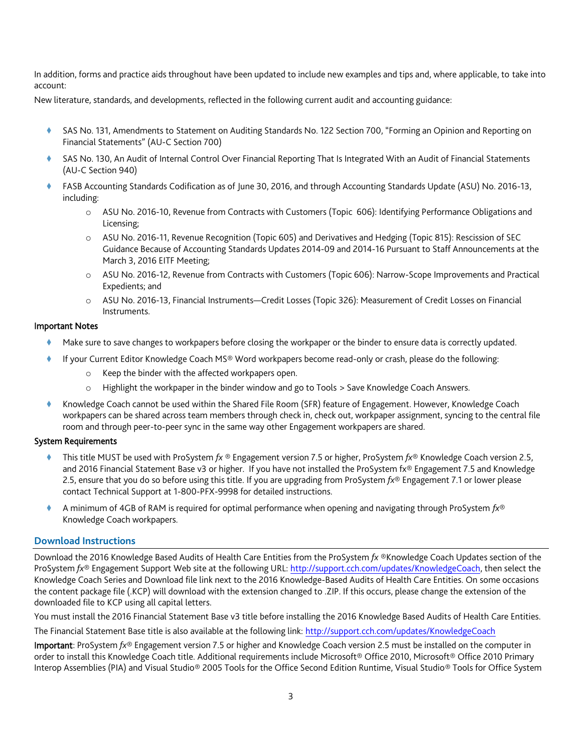In addition, forms and practice aids throughout have been updated to include new examples and tips and, where applicable, to take into account:

New literature, standards, and developments, reflected in the following current audit and accounting guidance:

- SAS No. 131, Amendments to Statement on Auditing Standards No. 122 Section 700, "Forming an Opinion and Reporting on Financial Statements" (AU-C Section 700)
- SAS No. 130, An Audit of Internal Control Over Financial Reporting That Is Integrated With an Audit of Financial Statements (AU-C Section 940)
- FASB Accounting Standards Codification as of June 30, 2016, and through Accounting Standards Update (ASU) No. 2016-13, including:
	- o ASU No. 2016-10, Revenue from Contracts with Customers (Topic 606): Identifying Performance Obligations and Licensing;
	- o ASU No. 2016-11, Revenue Recognition (Topic 605) and Derivatives and Hedging (Topic 815): Rescission of SEC Guidance Because of Accounting Standards Updates 2014-09 and 2014-16 Pursuant to Staff Announcements at the March 3, 2016 EITF Meeting;
	- o ASU No. 2016-12, Revenue from Contracts with Customers (Topic 606): Narrow-Scope Improvements and Practical Expedients; and
	- o ASU No. 2016-13, Financial Instruments—Credit Losses (Topic 326): Measurement of Credit Losses on Financial Instruments.

## Important Notes

- Make sure to save changes to workpapers before closing the workpaper or the binder to ensure data is correctly updated.
	- If your Current Editor Knowledge Coach MS® Word workpapers become read-only or crash, please do the following:
		- o Keep the binder with the affected workpapers open.
		- o Highlight the workpaper in the binder window and go to Tools > Save Knowledge Coach Answers.
- Knowledge Coach cannot be used within the Shared File Room (SFR) feature of Engagement. However, Knowledge Coach workpapers can be shared across team members through check in, check out, workpaper assignment, syncing to the central file room and through peer-to-peer sync in the same way other Engagement workpapers are shared.

## System Requirements

- This title MUST be used with ProSystem *fx* ® Engagement version 7.5 or higher, ProSystem *fx*® Knowledge Coach version 2.5, and 2016 Financial Statement Base v3 or higher. If you have not installed the ProSystem fx® Engagement 7.5 and Knowledge 2.5, ensure that you do so before using this title. If you are upgrading from ProSystem *fx*® Engagement 7.1 or lower please contact Technical Support at 1-800-PFX-9998 for detailed instructions.
- A minimum of 4GB of RAM is required for optimal performance when opening and navigating through ProSystem *fx*® Knowledge Coach workpapers.

## **Download Instructions**

Download the 2016 Knowledge Based Audits of Health Care Entities from the ProSystem *fx* ®Knowledge Coach Updates section of the ProSystem *fx*® Engagement Support Web site at the following URL[: http://support.cch.com/updates/KnowledgeCoach,](http://support.cch.com/updates/KnowledgeCoach) then select the Knowledge Coach Series and Download file link next to the 2016 Knowledge-Based Audits of Health Care Entities. On some occasions the content package file (.KCP) will download with the extension changed to .ZIP. If this occurs, please change the extension of the downloaded file to KCP using all capital letters.

You must install the 2016 Financial Statement Base v3 title before installing the 2016 Knowledge Based Audits of Health Care Entities.

The Financial Statement Base title is also available at the following link:<http://support.cch.com/updates/KnowledgeCoach>

Important: ProSystem *fx*® Engagement version 7.5 or higher and Knowledge Coach version 2.5 must be installed on the computer in order to install this Knowledge Coach title. Additional requirements include Microsoft® Office 2010, Microsoft® Office 2010 Primary Interop Assemblies (PIA) and Visual Studio® 2005 Tools for the Office Second Edition Runtime, Visual Studio® Tools for Office System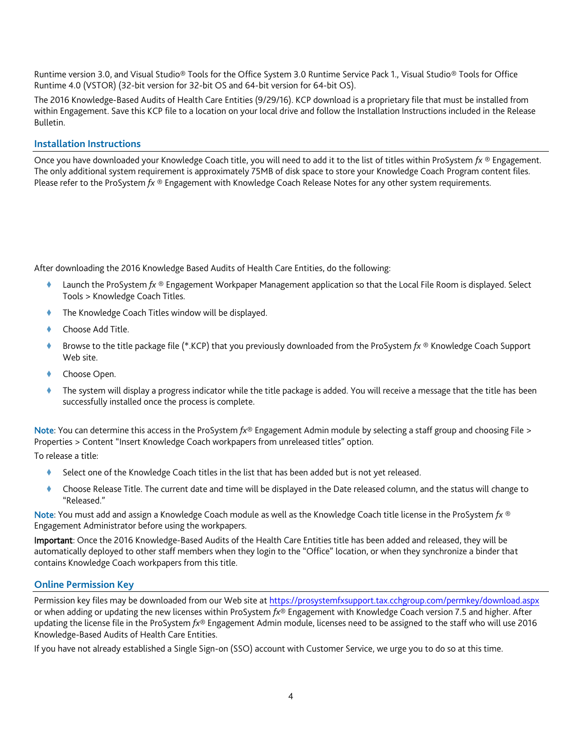Runtime version 3.0, and Visual Studio® Tools for the Office System 3.0 Runtime Service Pack 1., Visual Studio® Tools for Office Runtime 4.0 (VSTOR) (32-bit version for 32-bit OS and 64-bit version for 64-bit OS).

The 2016 Knowledge-Based Audits of Health Care Entities (9/29/16). KCP download is a proprietary file that must be installed from within Engagement. Save this KCP file to a location on your local drive and follow the Installation Instructions included in the Release Bulletin.

## **Installation Instructions**

Once you have downloaded your Knowledge Coach title, you will need to add it to the list of titles within ProSystem *fx* ® Engagement. The only additional system requirement is approximately 75MB of disk space to store your Knowledge Coach Program content files. Please refer to the ProSystem *fx* ® Engagement with Knowledge Coach Release Notes for any other system requirements.

After downloading the 2016 Knowledge Based Audits of Health Care Entities, do the following:

- Launch the ProSystem *fx* ® Engagement Workpaper Management application so that the Local File Room is displayed. Select Tools > Knowledge Coach Titles.
- The Knowledge Coach Titles window will be displayed.
- Choose Add Title.
- Browse to the title package file (\*.KCP) that you previously downloaded from the ProSystem *fx* ® Knowledge Coach Support Web site.
- Choose Open.
- The system will display a progress indicator while the title package is added. You will receive a message that the title has been successfully installed once the process is complete.

Note: You can determine this access in the ProSystem *fx*® Engagement Admin module by selecting a staff group and choosing File > Properties > Content "Insert Knowledge Coach workpapers from unreleased titles" option.

To release a title:

- Select one of the Knowledge Coach titles in the list that has been added but is not yet released.
- Choose Release Title. The current date and time will be displayed in the Date released column, and the status will change to "Released."

Note: You must add and assign a Knowledge Coach module as well as the Knowledge Coach title license in the ProSystem *fx* ® Engagement Administrator before using the workpapers.

Important: Once the 2016 Knowledge-Based Audits of the Health Care Entities title has been added and released, they will be automatically deployed to other staff members when they login to the "Office" location, or when they synchronize a binder that contains Knowledge Coach workpapers from this title.

## **Online Permission Key**

Permission key files may be downloaded from our Web site a[t https://prosystemfxsupport.tax.cchgroup.com/permkey/download.aspx](https://prosystemfxsupport.tax.cchgroup.com/permkey/download.aspx) or when adding or updating the new licenses within ProSystem *fx*® Engagement with Knowledge Coach version 7.5 and higher. After updating the license file in the ProSystem *fx*® Engagement Admin module, licenses need to be assigned to the staff who will use 2016 Knowledge-Based Audits of Health Care Entities.

If you have not already established a Single Sign-on (SSO) account with Customer Service, we urge you to do so at this time.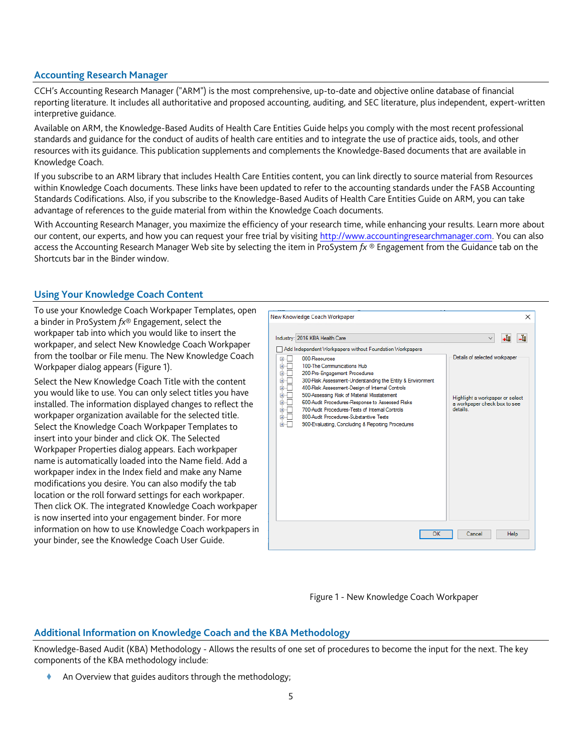## **Accounting Research Manager**

CCH's Accounting Research Manager ("ARM") is the most comprehensive, up-to-date and objective online database of financial reporting literature. It includes all authoritative and proposed accounting, auditing, and SEC literature, plus independent, expert-written interpretive guidance.

Available on ARM, the Knowledge-Based Audits of Health Care Entities Guide helps you comply with the most recent professional standards and guidance for the conduct of audits of health care entities and to integrate the use of practice aids, tools, and other resources with its guidance. This publication supplements and complements the Knowledge-Based documents that are available in Knowledge Coach.

If you subscribe to an ARM library that includes Health Care Entities content, you can link directly to source material from Resources within Knowledge Coach documents. These links have been updated to refer to the accounting standards under the FASB Accounting Standards Codifications. Also, if you subscribe to the Knowledge-Based Audits of Health Care Entities Guide on ARM, you can take advantage of references to the guide material from within the Knowledge Coach documents.

With Accounting Research Manager, you maximize the efficiency of your research time, while enhancing your results. Learn more about our content, our experts, and how you can request your free trial by visiting [http://www.accountingresearchmanager.com.](http://www.accountingresearchmanager.com/) You can also access the Accounting Research Manager Web site by selecting the item in ProSystem *fx* ® Engagement from the Guidance tab on the Shortcuts bar in the Binder window.

# **Using Your Knowledge Coach Content**

To use your Knowledge Coach Workpaper Templates, open a binder in ProSystem *fx*® Engagement, select the workpaper tab into which you would like to insert the workpaper, and select New Knowledge Coach Workpaper from the toolbar or File menu. The New Knowledge Coach Workpaper dialog appears (Figure 1).

Select the New Knowledge Coach Title with the content you would like to use. You can only select titles you have installed. The information displayed changes to reflect the workpaper organization available for the selected title. Select the Knowledge Coach Workpaper Templates to insert into your binder and click OK. The Selected Workpaper Properties dialog appears. Each workpaper name is automatically loaded into the Name field. Add a workpaper index in the Index field and make any Name modifications you desire. You can also modify the tab location or the roll forward settings for each workpaper. Then click OK. The integrated Knowledge Coach workpaper is now inserted into your engagement binder. For more information on how to use Knowledge Coach workpapers in your binder, see the Knowledge Coach User Guide.





## **Additional Information on Knowledge Coach and the KBA Methodology**

Knowledge-Based Audit (KBA) Methodology - Allows the results of one set of procedures to become the input for the next. The key components of the KBA methodology include:

An Overview that guides auditors through the methodology;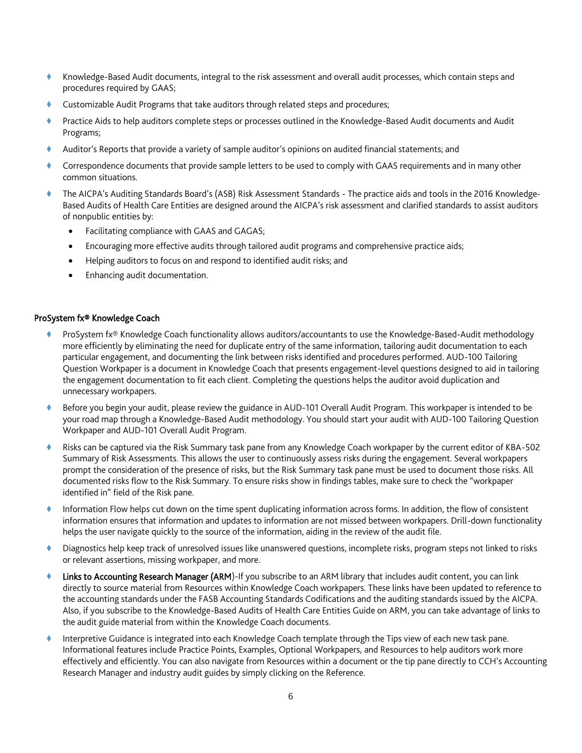- Knowledge-Based Audit documents, integral to the risk assessment and overall audit processes, which contain steps and procedures required by GAAS;
- Customizable Audit Programs that take auditors through related steps and procedures;
- Practice Aids to help auditors complete steps or processes outlined in the Knowledge-Based Audit documents and Audit Programs;
- Auditor's Reports that provide a variety of sample auditor's opinions on audited financial statements; and
- Correspondence documents that provide sample letters to be used to comply with GAAS requirements and in many other common situations.
- The AICPA's Auditing Standards Board's (ASB) Risk Assessment Standards The practice aids and tools in the 2016 Knowledge-Based Audits of Health Care Entities are designed around the AICPA's risk assessment and clarified standards to assist auditors of nonpublic entities by:
	- Facilitating compliance with GAAS and GAGAS;
	- Encouraging more effective audits through tailored audit programs and comprehensive practice aids;
	- Helping auditors to focus on and respond to identified audit risks; and
	- Enhancing audit documentation.

#### ProSystem fx® Knowledge Coach

- ProSystem fx® Knowledge Coach functionality allows auditors/accountants to use the Knowledge-Based-Audit methodology more efficiently by eliminating the need for duplicate entry of the same information, tailoring audit documentation to each particular engagement, and documenting the link between risks identified and procedures performed. AUD-100 Tailoring Question Workpaper is a document in Knowledge Coach that presents engagement-level questions designed to aid in tailoring the engagement documentation to fit each client. Completing the questions helps the auditor avoid duplication and unnecessary workpapers.
- Before you begin your audit, please review the guidance in AUD-101 Overall Audit Program. This workpaper is intended to be your road map through a Knowledge-Based Audit methodology. You should start your audit with AUD-100 Tailoring Question Workpaper and AUD-101 Overall Audit Program.
- Risks can be captured via the Risk Summary task pane from any Knowledge Coach workpaper by the current editor of KBA-502 Summary of Risk Assessments. This allows the user to continuously assess risks during the engagement. Several workpapers prompt the consideration of the presence of risks, but the Risk Summary task pane must be used to document those risks. All documented risks flow to the Risk Summary. To ensure risks show in findings tables, make sure to check the "workpaper identified in" field of the Risk pane.
- Information Flow helps cut down on the time spent duplicating information across forms. In addition, the flow of consistent information ensures that information and updates to information are not missed between workpapers. Drill-down functionality helps the user navigate quickly to the source of the information, aiding in the review of the audit file.
- Diagnostics help keep track of unresolved issues like unanswered questions, incomplete risks, program steps not linked to risks or relevant assertions, missing workpaper, and more.
- Links to Accounting Research Manager (ARM)-If you subscribe to an ARM library that includes audit content, you can link directly to source material from Resources within Knowledge Coach workpapers. These links have been updated to reference to the accounting standards under the FASB Accounting Standards Codifications and the auditing standards issued by the AICPA. Also, if you subscribe to the Knowledge-Based Audits of Health Care Entities Guide on ARM, you can take advantage of links to the audit guide material from within the Knowledge Coach documents.
- Interpretive Guidance is integrated into each Knowledge Coach template through the Tips view of each new task pane. Informational features include Practice Points, Examples, Optional Workpapers, and Resources to help auditors work more effectively and efficiently. You can also navigate from Resources within a document or the tip pane directly to CCH's Accounting Research Manager and industry audit guides by simply clicking on the Reference.